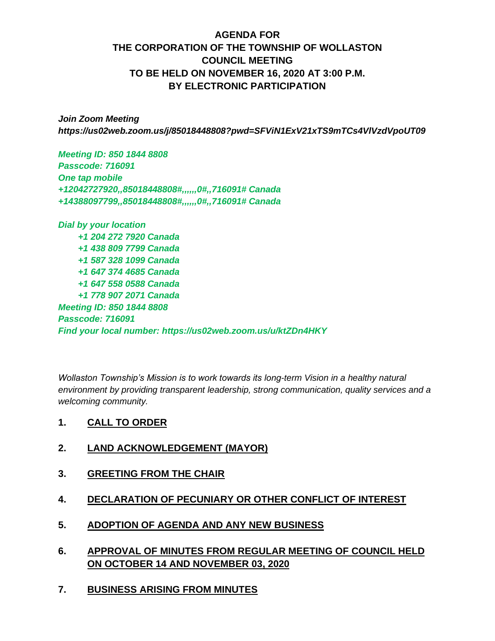# **AGENDA FOR THE CORPORATION OF THE TOWNSHIP OF WOLLASTON COUNCIL MEETING TO BE HELD ON NOVEMBER 16, 2020 AT 3:00 P.M. BY ELECTRONIC PARTICIPATION**

*Join Zoom Meeting https://us02web.zoom.us/j/85018448808?pwd=SFViN1ExV21xTS9mTCs4VlVzdVpoUT09*

*Meeting ID: 850 1844 8808 Passcode: 716091 One tap mobile +12042727920,,85018448808#,,,,,,0#,,716091# Canada +14388097799,,85018448808#,,,,,,0#,,716091# Canada*

*Dial by your location +1 204 272 7920 Canada +1 438 809 7799 Canada +1 587 328 1099 Canada +1 647 374 4685 Canada +1 647 558 0588 Canada +1 778 907 2071 Canada Meeting ID: 850 1844 8808 Passcode: 716091 Find your local number: https://us02web.zoom.us/u/ktZDn4HKY*

*Wollaston Township's Mission is to work towards its long-term Vision in a healthy natural environment by providing transparent leadership, strong communication, quality services and a welcoming community.*

- **1. CALL TO ORDER**
- **2. LAND ACKNOWLEDGEMENT (MAYOR)**
- **3. GREETING FROM THE CHAIR**
- **4. DECLARATION OF PECUNIARY OR OTHER CONFLICT OF INTEREST**
- **5. ADOPTION OF AGENDA AND ANY NEW BUSINESS**
- **6. APPROVAL OF MINUTES FROM REGULAR MEETING OF COUNCIL HELD ON OCTOBER 14 AND NOVEMBER 03, 2020**
- **7. BUSINESS ARISING FROM MINUTES**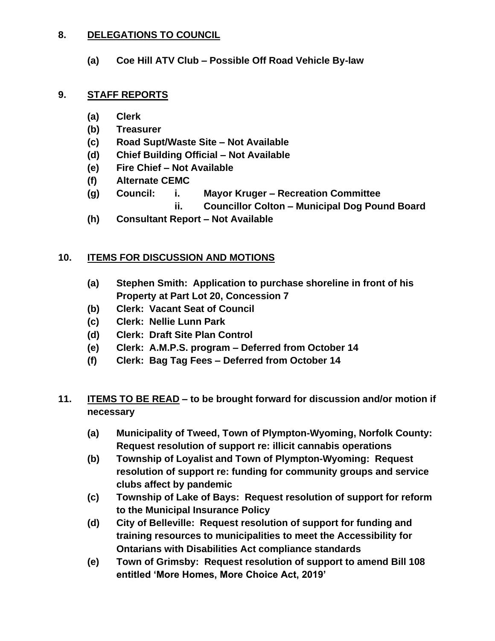## **8. DELEGATIONS TO COUNCIL**

**(a) Coe Hill ATV Club – Possible Off Road Vehicle By-law**

## **9. STAFF REPORTS**

- **(a) Clerk**
- **(b) Treasurer**
- **(c) Road Supt/Waste Site – Not Available**
- **(d) Chief Building Official – Not Available**
- **(e) Fire Chief – Not Available**
- **(f) Alternate CEMC**
- **(g) Council: i. Mayor Kruger – Recreation Committee**
	- **ii. Councillor Colton – Municipal Dog Pound Board**
- **(h) Consultant Report – Not Available**

# **10. ITEMS FOR DISCUSSION AND MOTIONS**

- **(a) Stephen Smith: Application to purchase shoreline in front of his Property at Part Lot 20, Concession 7**
- **(b) Clerk: Vacant Seat of Council**
- **(c) Clerk: Nellie Lunn Park**
- **(d) Clerk: Draft Site Plan Control**
- **(e) Clerk: A.M.P.S. program – Deferred from October 14**
- **(f) Clerk: Bag Tag Fees – Deferred from October 14**
- **11. ITEMS TO BE READ – to be brought forward for discussion and/or motion if necessary**
	- **(a) Municipality of Tweed, Town of Plympton-Wyoming, Norfolk County: Request resolution of support re: illicit cannabis operations**
	- **(b) Township of Loyalist and Town of Plympton-Wyoming: Request resolution of support re: funding for community groups and service clubs affect by pandemic**
	- **(c) Township of Lake of Bays: Request resolution of support for reform to the Municipal Insurance Policy**
	- **(d) City of Belleville: Request resolution of support for funding and training resources to municipalities to meet the Accessibility for Ontarians with Disabilities Act compliance standards**
	- **(e) Town of Grimsby: Request resolution of support to amend Bill 108 entitled 'More Homes, More Choice Act, 2019'**